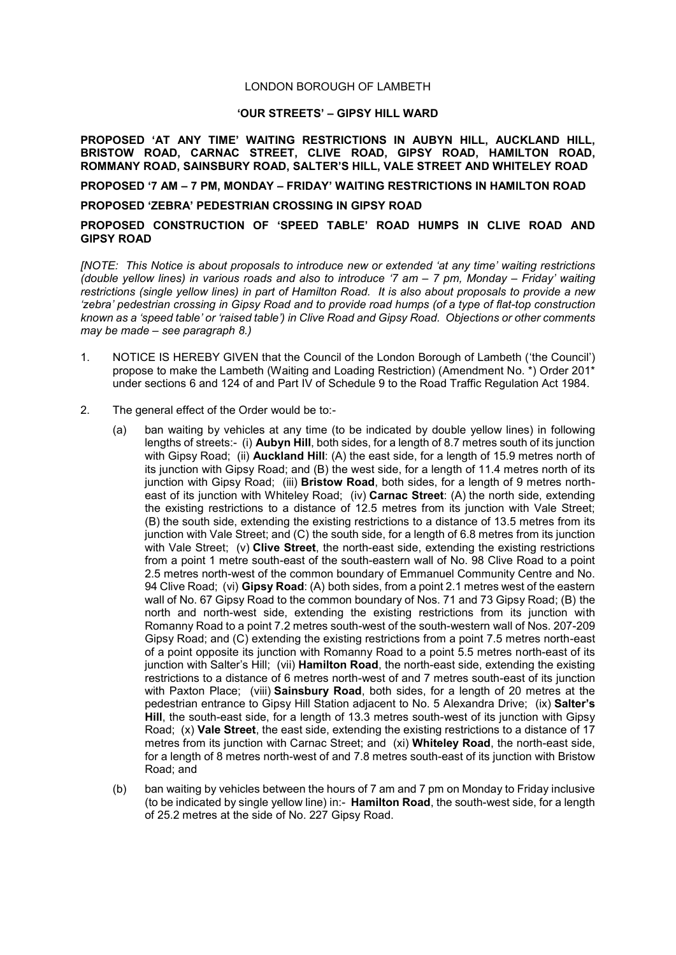## LONDON BOROUGH OF LAMBETH

## **'OUR STREETS' – GIPSY HILL WARD**

**PROPOSED 'AT ANY TIME' WAITING RESTRICTIONS IN AUBYN HILL, AUCKLAND HILL, BRISTOW ROAD, CARNAC STREET, CLIVE ROAD, GIPSY ROAD, HAMILTON ROAD, ROMMANY ROAD, SAINSBURY ROAD, SALTER'S HILL, VALE STREET AND WHITELEY ROAD**

**PROPOSED '7 AM – 7 PM, MONDAY – FRIDAY' WAITING RESTRICTIONS IN HAMILTON ROAD**

## **PROPOSED 'ZEBRA' PEDESTRIAN CROSSING IN GIPSY ROAD**

## **PROPOSED CONSTRUCTION OF 'SPEED TABLE' ROAD HUMPS IN CLIVE ROAD AND GIPSY ROAD**

*[NOTE: This Notice is about proposals to introduce new or extended 'at any time' waiting restrictions (double yellow lines) in various roads and also to introduce '7 am – 7 pm, Monday – Friday' waiting restrictions (single yellow lines) in part of Hamilton Road. It is also about proposals to provide a new 'zebra' pedestrian crossing in Gipsy Road and to provide road humps (of a type of flat-top construction known as a 'speed table' or 'raised table') in Clive Road and Gipsy Road. Objections or other comments may be made – see paragraph 8.)*

- 1. NOTICE IS HEREBY GIVEN that the Council of the London Borough of Lambeth ('the Council') propose to make the Lambeth (Waiting and Loading Restriction) (Amendment No. \*) Order 201\* under sections 6 and 124 of and Part IV of Schedule 9 to the Road Traffic Regulation Act 1984.
- 2. The general effect of the Order would be to:-
	- (a) ban waiting by vehicles at any time (to be indicated by double yellow lines) in following lengths of streets:- (i) **Aubyn Hill**, both sides, for a length of 8.7 metres south of its junction with Gipsy Road; (ii) **Auckland Hill**: (A) the east side, for a length of 15.9 metres north of its junction with Gipsy Road; and (B) the west side, for a length of 11.4 metres north of its junction with Gipsy Road; (iii) **Bristow Road**, both sides, for a length of 9 metres northeast of its junction with Whiteley Road; (iv) **Carnac Street**: (A) the north side, extending the existing restrictions to a distance of 12.5 metres from its junction with Vale Street; (B) the south side, extending the existing restrictions to a distance of 13.5 metres from its junction with Vale Street; and (C) the south side, for a length of 6.8 metres from its junction with Vale Street; (v) **Clive Street**, the north-east side, extending the existing restrictions from a point 1 metre south-east of the south-eastern wall of No. 98 Clive Road to a point 2.5 metres north-west of the common boundary of Emmanuel Community Centre and No. 94 Clive Road; (vi) **Gipsy Road**: (A) both sides, from a point 2.1 metres west of the eastern wall of No. 67 Gipsy Road to the common boundary of Nos. 71 and 73 Gipsy Road; (B) the north and north-west side, extending the existing restrictions from its junction with Romanny Road to a point 7.2 metres south-west of the south-western wall of Nos. 207-209 Gipsy Road; and (C) extending the existing restrictions from a point 7.5 metres north-east of a point opposite its junction with Romanny Road to a point 5.5 metres north-east of its junction with Salter's Hill; (vii) **Hamilton Road**, the north-east side, extending the existing restrictions to a distance of 6 metres north-west of and 7 metres south-east of its junction with Paxton Place; (viii) **Sainsbury Road**, both sides, for a length of 20 metres at the pedestrian entrance to Gipsy Hill Station adjacent to No. 5 Alexandra Drive; (ix) **Salter's Hill**, the south-east side, for a length of 13.3 metres south-west of its junction with Gipsy Road; (x) **Vale Street**, the east side, extending the existing restrictions to a distance of 17 metres from its junction with Carnac Street; and (xi) **Whiteley Road**, the north-east side, for a length of 8 metres north-west of and 7.8 metres south-east of its junction with Bristow Road; and
	- (b) ban waiting by vehicles between the hours of 7 am and 7 pm on Monday to Friday inclusive (to be indicated by single yellow line) in:- **Hamilton Road**, the south-west side, for a length of 25.2 metres at the side of No. 227 Gipsy Road.